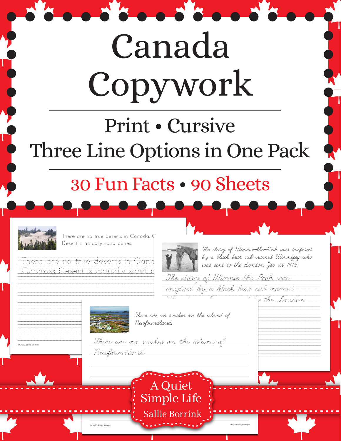# Canada Copywork

## Print • Cursive Three Line Options in One Pack

### 30 Fun Facts • 90 Sheets



There are no true deserts in Canada.  $\mathbb {G}$ Desert is actually sand dunes.

here are no true deserts in Can .<br>Iarcross Desert is actually sand  $\sqrt{18}$ 



 $\bullet\bullet\bullet\bullet$ 

The story of Winnie-the-Pooh was inspired by a black bear cub named Winnipeg who was sent to the London Zoo in 1915.

/Winnipeg/who/was/sent/to/the/London////

 $\overline{\textit{im}}$ The story of Winnie-the-Pooh was /inspired/by/a/black/bear/cub/named///////

/////////////////////////////////////////

Photo: Johnathan Nightingale



 $\overline{\phantom{0}}$ 

/////////////////////////////////////////////////

© 2020 Sallie Borrink

There are no snakes on the island of  $1/$ 

© 2020 Sallie Borrink



/////////////////////////////////////////

A Quiet

Simple Life

Sallie Borrink

///////////////////////////////////////////////// <u>-There are no snakes on the island of  $\overline{\phantom{a}}$  . The  $\overline{\phantom{a}}$ </u> <u>Newfoundland</u>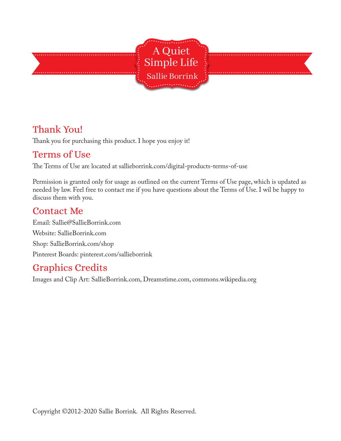

#### Thank You!

Thank you for purchasing this product. I hope you enjoy it!

#### Terms of Use

The Terms of Use are located at sallieborrink.com/digital-products-terms-of-use

Permission is granted only for usage as outlined on the current Terms of Use page, which is updated as needed by law. Feel free to contact me if you have questions about the Terms of Use. I wil be happy to discuss them with you.

#### Contact Me

Email: Sallie@SallieBorrink.com Website: SallieBorrink.com Shop: SallieBorrink.com/shop Pinterest Boards: pinterest.com/sallieborrink

#### Graphics Credits

Images and Clip Art: SallieBorrink.com, Dreamstime.com, commons.wikipedia.org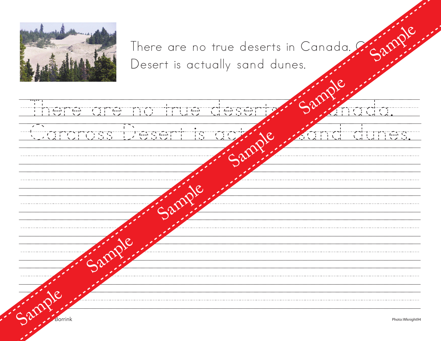

There are no true deserts in Canada. Can Desert is actually sand dunes.

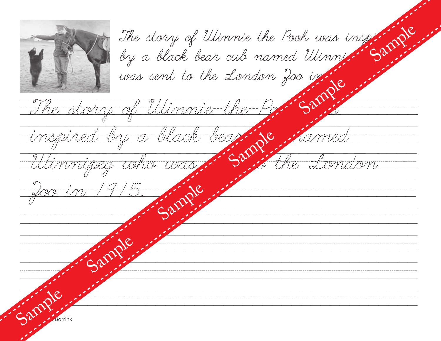

|                      | The story of Ulinnie-the-Poch was inspiring |
|----------------------|---------------------------------------------|
|                      |                                             |
|                      | was sent to the London 200 in.              |
|                      | The story of Utimmie-the-P                  |
|                      |                                             |
|                      | <u>inspired by a black bear</u>             |
| - Utimmipeg who was  | the Sandan                                  |
|                      |                                             |
| <u>giove in 1915</u> |                                             |
|                      |                                             |
|                      |                                             |
|                      |                                             |
|                      |                                             |
|                      |                                             |
|                      |                                             |
|                      |                                             |